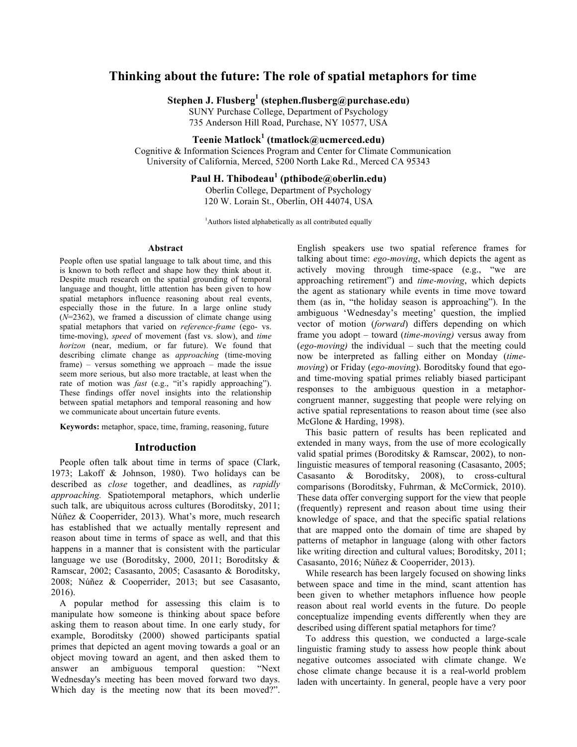# **Thinking about the future: The role of spatial metaphors for time**

**Stephen J. Flusberg<sup>1</sup> (stephen.flusberg@purchase.edu)**

SUNY Purchase College, Department of Psychology 735 Anderson Hill Road, Purchase, NY 10577, USA

# **Teenie Matlock<sup>1</sup> (tmatlock@ucmerced.edu)**

Cognitive & Information Sciences Program and Center for Climate Communication University of California, Merced, 5200 North Lake Rd., Merced CA 95343

# **Paul H. Thibodeau<sup>1</sup> (pthibode@oberlin.edu)**

Oberlin College, Department of Psychology 120 W. Lorain St., Oberlin, OH 44074, USA

<sup>1</sup>Authors listed alphabetically as all contributed equally

#### **Abstract**

People often use spatial language to talk about time, and this is known to both reflect and shape how they think about it. Despite much research on the spatial grounding of temporal language and thought, little attention has been given to how spatial metaphors influence reasoning about real events, especially those in the future. In a large online study  $(N=2362)$ , we framed a discussion of climate change using spatial metaphors that varied on *reference-frame* (ego- vs. time-moving), *speed* of movement (fast vs. slow), and *time horizon* (near, medium, or far future). We found that describing climate change as *approaching* (time-moving frame) – versus something we approach – made the issue seem more serious, but also more tractable, at least when the rate of motion was *fast* (e.g., "it's rapidly approaching"). These findings offer novel insights into the relationship between spatial metaphors and temporal reasoning and how we communicate about uncertain future events.

**Keywords:** metaphor, space, time, framing, reasoning, future

#### **Introduction**

People often talk about time in terms of space (Clark, 1973; Lakoff & Johnson, 1980). Two holidays can be described as *close* together, and deadlines, as *rapidly approaching.* Spatiotemporal metaphors, which underlie such talk, are ubiquitous across cultures (Boroditsky, 2011; Núñez & Cooperrider, 2013). What's more, much research has established that we actually mentally represent and reason about time in terms of space as well, and that this happens in a manner that is consistent with the particular language we use (Boroditsky, 2000, 2011; Boroditsky & Ramscar, 2002; Casasanto, 2005; Casasanto & Boroditsky, 2008; Núñez & Cooperrider, 2013; but see Casasanto, 2016).

A popular method for assessing this claim is to manipulate how someone is thinking about space before asking them to reason about time. In one early study, for example, Boroditsky (2000) showed participants spatial primes that depicted an agent moving towards a goal or an object moving toward an agent, and then asked them to answer an ambiguous temporal question: "Next Wednesday's meeting has been moved forward two days. Which day is the meeting now that its been moved?".

English speakers use two spatial reference frames for talking about time: *ego-moving*, which depicts the agent as actively moving through time-space (e.g., "we are approaching retirement") and *time-moving*, which depicts the agent as stationary while events in time move toward them (as in, "the holiday season is approaching"). In the ambiguous 'Wednesday's meeting' question, the implied vector of motion (*forward*) differs depending on which frame you adopt – toward (*time-moving)* versus away from (*ego-moving)* the individual – such that the meeting could now be interpreted as falling either on Monday (*timemoving*) or Friday (*ego-moving*). Boroditsky found that egoand time-moving spatial primes reliably biased participant responses to the ambiguous question in a metaphorcongruent manner, suggesting that people were relying on active spatial representations to reason about time (see also McGlone & Harding, 1998).

This basic pattern of results has been replicated and extended in many ways, from the use of more ecologically valid spatial primes (Boroditsky & Ramscar, 2002), to nonlinguistic measures of temporal reasoning (Casasanto, 2005; Casasanto & Boroditsky, 2008), to cross-cultural comparisons (Boroditsky, Fuhrman, & McCormick, 2010). These data offer converging support for the view that people (frequently) represent and reason about time using their knowledge of space, and that the specific spatial relations that are mapped onto the domain of time are shaped by patterns of metaphor in language (along with other factors like writing direction and cultural values; Boroditsky, 2011; Casasanto, 2016; Núñez & Cooperrider, 2013).

While research has been largely focused on showing links between space and time in the mind, scant attention has been given to whether metaphors influence how people reason about real world events in the future. Do people conceptualize impending events differently when they are described using different spatial metaphors for time?

To address this question, we conducted a large-scale linguistic framing study to assess how people think about negative outcomes associated with climate change. We chose climate change because it is a real-world problem laden with uncertainty. In general, people have a very poor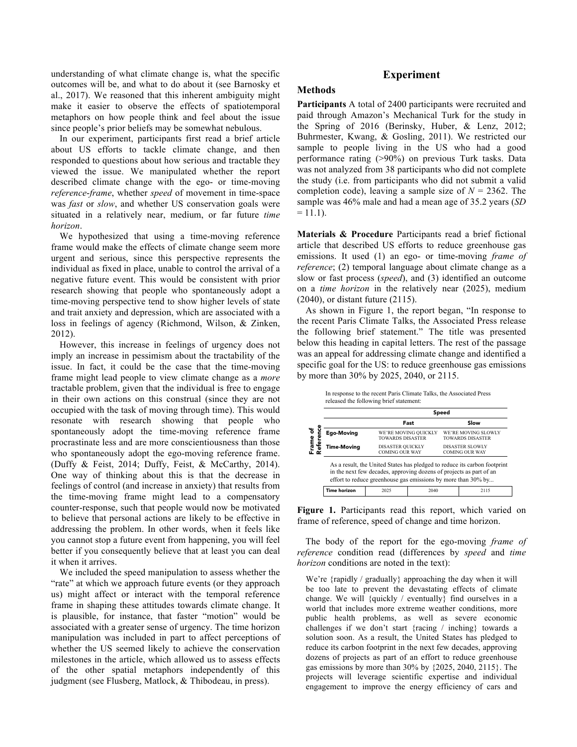understanding of what climate change is, what the specific outcomes will be, and what to do about it (see Barnosky et al., 2017). We reasoned that this inherent ambiguity might make it easier to observe the effects of spatiotemporal metaphors on how people think and feel about the issue since people's prior beliefs may be somewhat nebulous.

In our experiment, participants first read a brief article about US efforts to tackle climate change, and then responded to questions about how serious and tractable they viewed the issue. We manipulated whether the report described climate change with the ego- or time-moving *reference*-*frame*, whether *speed* of movement in time-space was *fast* or *slow*, and whether US conservation goals were situated in a relatively near, medium, or far future *time horizon*.

We hypothesized that using a time-moving reference frame would make the effects of climate change seem more urgent and serious, since this perspective represents the individual as fixed in place, unable to control the arrival of a negative future event. This would be consistent with prior research showing that people who spontaneously adopt a time-moving perspective tend to show higher levels of state and trait anxiety and depression, which are associated with a loss in feelings of agency (Richmond, Wilson, & Zinken, 2012).

However, this increase in feelings of urgency does not imply an increase in pessimism about the tractability of the issue. In fact, it could be the case that the time-moving frame might lead people to view climate change as a *more* tractable problem, given that the individual is free to engage in their own actions on this construal (since they are not occupied with the task of moving through time). This would resonate with research showing that people who spontaneously adopt the time-moving reference frame procrastinate less and are more conscientiousness than those who spontaneously adopt the ego-moving reference frame. (Duffy & Feist, 2014; Duffy, Feist, & McCarthy, 2014). One way of thinking about this is that the decrease in feelings of control (and increase in anxiety) that results from the time-moving frame might lead to a compensatory counter-response, such that people would now be motivated to believe that personal actions are likely to be effective in addressing the problem. In other words, when it feels like you cannot stop a future event from happening, you will feel better if you consequently believe that at least you can deal it when it arrives.

We included the speed manipulation to assess whether the "rate" at which we approach future events (or they approach us) might affect or interact with the temporal reference frame in shaping these attitudes towards climate change. It is plausible, for instance, that faster "motion" would be associated with a greater sense of urgency. The time horizon manipulation was included in part to affect perceptions of whether the US seemed likely to achieve the conservation milestones in the article, which allowed us to assess effects of the other spatial metaphors independently of this judgment (see Flusberg, Matlock, & Thibodeau, in press).

# **Experiment**

## **Methods**

**Participants** A total of 2400 participants were recruited and paid through Amazon's Mechanical Turk for the study in the Spring of 2016 (Berinsky, Huber, & Lenz, 2012; Buhrmester, Kwang, & Gosling, 2011). We restricted our sample to people living in the US who had a good performance rating (>90%) on previous Turk tasks. Data was not analyzed from 38 participants who did not complete the study (i.e. from participants who did not submit a valid completion code), leaving a sample size of  $N = 2362$ . The sample was 46% male and had a mean age of 35.2 years (*SD*  $= 11.1$ ).

**Materials & Procedure** Participants read a brief fictional article that described US efforts to reduce greenhouse gas emissions. It used (1) an ego- or time-moving *frame of reference*; (2) temporal language about climate change as a slow or fast process (*speed*), and (3) identified an outcome on a *time horizon* in the relatively near (2025), medium (2040), or distant future (2115).

As shown in Figure 1, the report began, "In response to the recent Paris Climate Talks, the Associated Press release the following brief statement." The title was presented below this heading in capital letters. The rest of the passage was an appeal for addressing climate change and identified a specific goal for the US: to reduce greenhouse gas emissions by more than 30% by 2025, 2040, or 2115.

|                     | Speed                                                                                                                                                                                                             |      |                                          |                                                |
|---------------------|-------------------------------------------------------------------------------------------------------------------------------------------------------------------------------------------------------------------|------|------------------------------------------|------------------------------------------------|
|                     |                                                                                                                                                                                                                   | Fast |                                          | Slow                                           |
| <b>Ego-Moving</b>   | WE'RE MOVING QUICKLY<br><b>TOWARDS DISASTER</b>                                                                                                                                                                   |      |                                          | WE'RE MOVING SLOWLY<br><b>TOWARDS DISASTER</b> |
| Time-Moving         | <b>DISASTER QUICKLY</b><br><b>COMING OUR WAY</b>                                                                                                                                                                  |      | DISASTER SLOWLY<br><b>COMING OUR WAY</b> |                                                |
|                     | As a result, the United States has pledged to reduce its carbon footprint<br>in the next few decades, approving dozens of projects as part of an<br>effort to reduce greenhouse gas emissions by more than 30% by |      |                                          |                                                |
| <b>Time horizon</b> | 2025                                                                                                                                                                                                              | 2040 |                                          | 2115                                           |

**Figure 1.** Participants read this report, which varied on frame of reference, speed of change and time horizon.

The body of the report for the ego-moving *frame of reference* condition read (differences by *speed* and *time horizon* conditions are noted in the text):

We're {rapidly / gradually} approaching the day when it will be too late to prevent the devastating effects of climate change. We will {quickly / eventually} find ourselves in a world that includes more extreme weather conditions, more public health problems, as well as severe economic challenges if we don't start {racing / inching} towards a solution soon. As a result, the United States has pledged to reduce its carbon footprint in the next few decades, approving dozens of projects as part of an effort to reduce greenhouse gas emissions by more than 30% by {2025, 2040, 2115}. The projects will leverage scientific expertise and individual engagement to improve the energy efficiency of cars and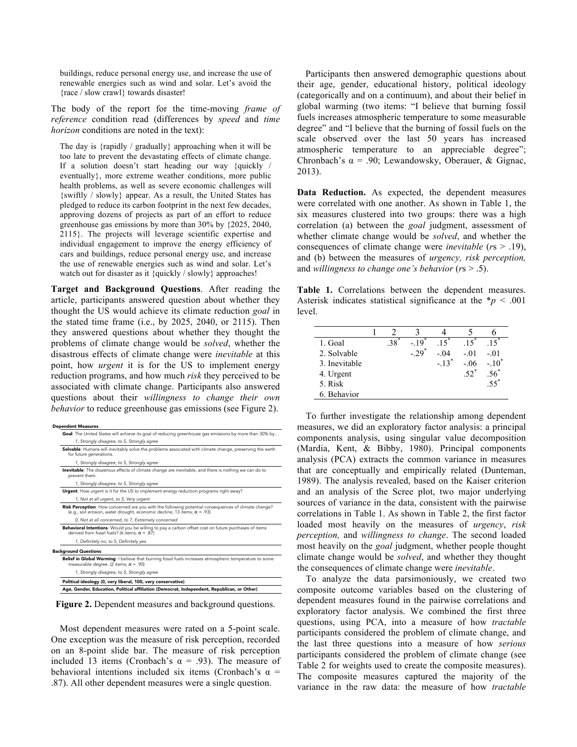buildings, reduce personal energy use, and increase the use of renewable energies such as wind and solar. Let's avoid the {race / slow crawl} towards disaster!

The body of the report for the time-moving *frame of reference* condition read (differences by *speed* and *time horizon* conditions are noted in the text):

The day is {rapidly / gradually} approaching when it will be too late to prevent the devastating effects of climate change. If a solution doesn't start heading our way {quickly / eventually}, more extreme weather conditions, more public health problems, as well as severe economic challenges will {swiftly / slowly} appear. As a result, the United States has pledged to reduce its carbon footprint in the next few decades, approving dozens of projects as part of an effort to reduce greenhouse gas emissions by more than 30% by {2025, 2040, 2115}. The projects will leverage scientific expertise and individual engagement to improve the energy efficiency of cars and buildings, reduce personal energy use, and increase the use of renewable energies such as wind and solar. Let's watch out for disaster as it {quickly / slowly} approaches!

**Target and Background Questions**. After reading the article, participants answered question about whether they thought the US would achieve its climate reduction *goal* in the stated time frame (i.e., by 2025, 2040, or 2115). Then they answered questions about whether they thought the problems of climate change would be *solved*, whether the disastrous effects of climate change were *inevitable* at this point, how *urgent* it is for the US to implement energy reduction programs, and how much *risk* they perceived to be associated with climate change. Participants also answered questions about their *willingness to change their own behavior* to reduce greenhouse gas emissions (see Figure 2).

| <b>Dependent Measures:</b>                                                                                                                                                             |
|----------------------------------------------------------------------------------------------------------------------------------------------------------------------------------------|
| Goal: The United States will achieve its goal of reducing greenhouse gas emissions by more than 30% by                                                                                 |
| 1, Strongly disagree, to 5, Strongly agree                                                                                                                                             |
| Solvable: Humans will inevitably solve the problems associated with climate change, preserving the earth<br>for future generations.                                                    |
| 1, Strongly disagree, to 5, Strongly agree                                                                                                                                             |
| Inevitable: The disastrous effects of climate change are inevitable, and there is nothing we can do to<br>prevent them.                                                                |
| 1, Strongly disagree, to 5, Strongly agree                                                                                                                                             |
| Urgent: How urgent is it for the US to implement energy reduction programs right away?                                                                                                 |
| 1, Not at all urgent, to 5, Very urgent                                                                                                                                                |
| Risk Perception: How concerned are you with the following potential consequences of climate change?<br>(e.g., soil erosion, water drought, economic decline; 13 items; $\alpha$ = .93) |
| 0, Not at all concerned, to 7, Extremely concerned                                                                                                                                     |
| Behavioral Intentions: Would you be willing to pay a carbon offset cost on future purchases of items<br>derived from fossil fuels? (6 items; $\alpha$ = .87)                           |
| 1, Definitely no, to 5, Definitely yes                                                                                                                                                 |
| <b>Background Questions:</b>                                                                                                                                                           |
| Belief in Global Warming: I believe that burning fossil fuels increases atmospheric temperature to some<br>measurable degree. (2 items; $\alpha$ = .90)                                |
| 1, Strongly disagree, to 5, Strongly agree                                                                                                                                             |
| Political ideology (0, very liberal, 100, very conservative)                                                                                                                           |
| Age, Gender, Education, Political affiliation (Democrat, Independent, Republican, or Other)                                                                                            |

**Figure 2.** Dependent measures and background questions.

Most dependent measures were rated on a 5-point scale. One exception was the measure of risk perception, recorded on an 8-point slide bar. The measure of risk perception included 13 items (Cronbach's  $\alpha$  = .93). The measure of behavioral intentions included six items (Cronbach's  $\alpha$  = .87). All other dependent measures were a single question.

Participants then answered demographic questions about their age, gender, educational history, political ideology (categorically and on a continuum), and about their belief in global warming (two items: "I believe that burning fossil fuels increases atmospheric temperature to some measurable degree" and "I believe that the burning of fossil fuels on the scale observed over the last 50 years has increased atmospheric temperature to an appreciable degree"; Chronbach's  $\alpha$  = .90; Lewandowsky, Oberauer, & Gignac, 2013).

**Data Reduction.** As expected, the dependent measures were correlated with one another. As shown in Table 1, the six measures clustered into two groups: there was a high correlation (a) between the *goal* judgment, assessment of whether climate change would be *solved*, and whether the consequences of climate change were *inevitable* (*r*s > .19), and (b) between the measures of *urgency, risk perception,*  and *willingness to change one's behavior* (*r*s > .5).

**Table 1.** Correlations between the dependent measures. Asterisk indicates statistical significance at the \**p* < .001 level.

| 1. Goal       | 38 | $-19^{^{\circ}}$   | 15                  | 15      | 15                  |
|---------------|----|--------------------|---------------------|---------|---------------------|
| 2. Solvable   |    | $-29$ <sup>*</sup> | $-.04$              | $-.01$  | $-.01$              |
| 3. Inevitable |    |                    | $-.13$ <sup>*</sup> | $-06$   | $-.10$ <sup>'</sup> |
| 4. Urgent     |    |                    |                     | $.52^*$ | .56                 |
| 5. Risk       |    |                    |                     |         | $55^{\circ}$        |
| 6. Behavior   |    |                    |                     |         |                     |

To further investigate the relationship among dependent measures, we did an exploratory factor analysis: a principal components analysis, using singular value decomposition (Mardia, Kent, & Bibby, 1980). Principal components analysis (PCA) extracts the common variance in measures that are conceptually and empirically related (Dunteman, 1989). The analysis revealed, based on the Kaiser criterion and an analysis of the Scree plot, two major underlying sources of variance in the data, consistent with the pairwise correlations in Table 1. As shown in Table 2, the first factor loaded most heavily on the measures of *urgency*, *risk perception,* and *willingness to change*. The second loaded most heavily on the *goal* judgment, whether people thought climate change would be *solved*, and whether they thought the consequences of climate change were *inevitable*.

To analyze the data parsimoniously, we created two composite outcome variables based on the clustering of dependent measures found in the pairwise correlations and exploratory factor analysis. We combined the first three questions, using PCA, into a measure of how *tractable* participants considered the problem of climate change, and the last three questions into a measure of how *serious* participants considered the problem of climate change (see Table 2 for weights used to create the composite measures). The composite measures captured the majority of the variance in the raw data: the measure of how *tractable*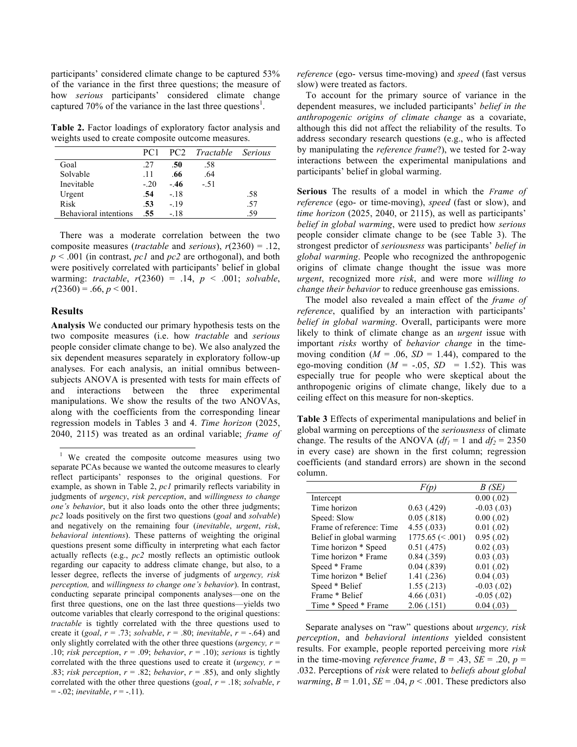participants' considered climate change to be captured 53% of the variance in the first three questions; the measure of how *serious* participants' considered climate change captured 70% of the variance in the last three questions<sup>1</sup>.

**Table 2.** Factor loadings of exploratory factor analysis and weights used to create composite outcome measures.

|                       | PC <sub>1</sub> |       | PC2 Tractable Serious |     |
|-----------------------|-----------------|-------|-----------------------|-----|
| Goal                  | .27             | .50   | .58                   |     |
| Solvable              | .11             | .66   | .64                   |     |
| Inevitable            | $-20$           | - 46  | $-51$                 |     |
| Urgent                | .54             | $-18$ |                       | .58 |
| Risk                  | .53             | $-19$ |                       | .57 |
| Behavioral intentions | .55             | - 18  |                       | -59 |

There was a moderate correlation between the two composite measures (*tractable* and *serious*), *r*(2360) = .12, *p* < .001 (in contrast, *pc1* and *pc2* are orthogonal), and both were positively correlated with participants' belief in global warming: *tractable*, *r*(2360) = .14, *p* < .001; *solvable*,  $r(2360) = .66, p < 001.$ 

## **Results**

**Analysis** We conducted our primary hypothesis tests on the two composite measures (i.e. how *tractable* and *serious* people consider climate change to be). We also analyzed the six dependent measures separately in exploratory follow-up analyses. For each analysis, an initial omnibus betweensubjects ANOVA is presented with tests for main effects of and interactions between the three experimental manipulations. We show the results of the two ANOVAs, along with the coefficients from the corresponding linear regression models in Tables 3 and 4. *Time horizon* (2025, 2040, 2115) was treated as an ordinal variable; *frame of*  *reference* (ego- versus time-moving) and *speed* (fast versus slow) were treated as factors.

To account for the primary source of variance in the dependent measures, we included participants' *belief in the anthropogenic origins of climate change* as a covariate, although this did not affect the reliability of the results. To address secondary research questions (e.g., who is affected by manipulating the *reference frame*?), we tested for 2-way interactions between the experimental manipulations and participants' belief in global warming.

**Serious** The results of a model in which the *Frame of reference* (ego- or time-moving), *speed* (fast or slow), and *time horizon* (2025, 2040, or 2115), as well as participants' *belief in global warming*, were used to predict how *serious*  people consider climate change to be (see Table 3). The strongest predictor of *seriousness* was participants' *belief in global warming*. People who recognized the anthropogenic origins of climate change thought the issue was more *urgent*, recognized more *risk*, and were more *willing to change their behavior* to reduce greenhouse gas emissions.

The model also revealed a main effect of the *frame of reference*, qualified by an interaction with participants' *belief in global warming*. Overall, participants were more likely to think of climate change as an *urgent* issue with important *risks* worthy of *behavior change* in the timemoving condition ( $M = .06$ ,  $SD = 1.44$ ), compared to the ego-moving condition  $(M = -.05, SD = 1.52)$ . This was especially true for people who were skeptical about the anthropogenic origins of climate change, likely due to a ceiling effect on this measure for non-skeptics.

**Table 3** Effects of experimental manipulations and belief in global warming on perceptions of the *seriousness* of climate change. The results of the ANOVA  $(df<sub>1</sub> = 1$  and  $df<sub>2</sub> = 2350$ in every case) are shown in the first column; regression coefficients (and standard errors) are shown in the second column.

|                          |                     | B (SE)         |
|--------------------------|---------------------|----------------|
| Intercept                |                     | $0.00$ $(.02)$ |
| Time horizon             | 0.63(0.429)         | $-0.03(0.03)$  |
| Speed: Slow              | 0.05(.818)          | 0.00(0.02)     |
| Frame of reference: Time | 4.55(.033)          | 0.01(.02)      |
| Belief in global warming | $1775.65 \le 0.001$ | 0.95(.02)      |
| Time horizon * Speed     | 0.51(0.475)         | 0.02(0.03)     |
| Time horizon * Frame     | 0.84(0.359)         | 0.03(0.03)     |
| Speed * Frame            | 0.04(.839)          | 0.01(0.02)     |
| Time horizon * Belief    | 1.41 (.236)         | 0.04(0.03)     |
| Speed * Belief           | 1.55(.213)          | $-0.03(0.02)$  |
| Frame * Belief           | 4.66(.031)          | $-0.05(0.02)$  |
| Time * Speed * Frame     | 2.06(0.151)         | 0.04(0.03)     |

Separate analyses on "raw" questions about *urgency, risk perception*, and *behavioral intentions* yielded consistent results. For example, people reported perceiving more *risk* in the time-moving *reference frame*,  $B = .43$ ,  $SE = .20$ ,  $p =$ .032. Perceptions of *risk* were related to *beliefs about global warming*,  $B = 1.01$ ,  $SE = .04$ ,  $p < .001$ . These predictors also

We created the composite outcome measures using two separate PCAs because we wanted the outcome measures to clearly reflect participants' responses to the original questions. For example, as shown in Table 2, *pc1* primarily reflects variability in judgments of *urgency*, *risk perception*, and *willingness to change one's behavior*, but it also loads onto the other three judgments; *pc2* loads positively on the first two questions (*goal* and *solvable*) and negatively on the remaining four (*inevitable*, *urgent*, *risk*, *behavioral intentions*). These patterns of weighting the original questions present some difficulty in interpreting what each factor actually reflects (e.g., *pc2* mostly reflects an optimistic outlook regarding our capacity to address climate change, but also, to a lesser degree, reflects the inverse of judgments of *urgency, risk perception,* and *willingness to change one's behavior*). In contrast, conducting separate principal components analyses—one on the first three questions, one on the last three questions—yields two outcome variables that clearly correspond to the original questions: *tractable* is tightly correlated with the three questions used to create it (*goal*,  $r = .73$ ; *solvable*,  $r = .80$ ; *inevitable*,  $r = -.64$ ) and only slightly correlated with the other three questions ( $\mu$ *rgency, r* = .10; *risk perception*,  $r = .09$ ; *behavior*,  $r = .10$ ); *serious* is tightly correlated with the three questions used to create it (*urgency, r* = .83; *risk perception*,  $r = .82$ ; *behavior*,  $r = .85$ ), and only slightly correlated with the other three questions (*goal*, *r* = .18; *solvable*, *r* = -.02; *inevitable*, *r* = -.11).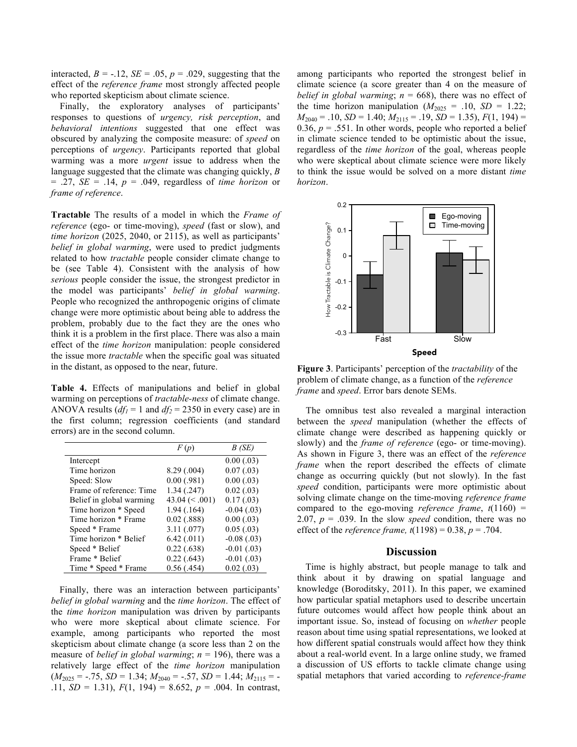interacted,  $B = -.12$ ,  $SE = .05$ ,  $p = .029$ , suggesting that the effect of the *reference frame* most strongly affected people who reported skepticism about climate science.

Finally, the exploratory analyses of participants' responses to questions of *urgency, risk perception*, and *behavioral intentions* suggested that one effect was obscured by analyzing the composite measure: of *speed* on perceptions of *urgency*. Participants reported that global warming was a more *urgent* issue to address when the language suggested that the climate was changing quickly, *B* = .27, *SE* = .14, *p* = .049, regardless of *time horizon* or *frame of reference*.

**Tractable** The results of a model in which the *Frame of reference* (ego- or time-moving), *speed* (fast or slow), and *time horizon* (2025, 2040, or 2115), as well as participants' *belief in global warming*, were used to predict judgments related to how *tractable* people consider climate change to be (see Table 4). Consistent with the analysis of how *serious* people consider the issue, the strongest predictor in the model was participants' *belief in global warming*. People who recognized the anthropogenic origins of climate change were more optimistic about being able to address the problem, probably due to the fact they are the ones who think it is a problem in the first place. There was also a main effect of the *time horizon* manipulation: people considered the issue more *tractable* when the specific goal was situated in the distant, as opposed to the near, future.

**Table 4.** Effects of manipulations and belief in global warming on perceptions of *tractable-ness* of climate change. ANOVA results  $(df<sub>1</sub> = 1$  and  $df<sub>2</sub> = 2350$  in every case) are in the first column; regression coefficients (and standard errors) are in the second column.

|                          | F(p)             | B(SE)           |
|--------------------------|------------------|-----------------|
| Intercept                |                  | 0.00(0.03)      |
| Time horizon             | 8.29(.004)       | 0.07(0.03)      |
| Speed: Slow              | $0.00$ (.981)    | 0.00(0.03)      |
| Frame of reference: Time | 1.34(.247)       | 0.02(0.03)      |
| Belief in global warming | 43.04 $(< .001)$ | 0.17(0.03)      |
| Time horizon * Speed     | 1.94(0.164)      | $-0.04(0.03)$   |
| Time horizon * Frame     | $0.02$ (.888)    | 0.00(0.03)      |
| Speed * Frame            | 3.11(.077)       | 0.05(.03)       |
| Time horizon * Belief    | 6.42(.011)       | $-0.08$ $(.03)$ |
| Speed * Belief           | 0.22(0.638)      | $-0.01(0.03)$   |
| Frame * Belief           | $0.22$ (.643)    | $-0.01(0.03)$   |
| Time * Speed * Frame     | 0.56(0.454)      | 0.02(0.03)      |

Finally, there was an interaction between participants' *belief in global warming* and the *time horizon*. The effect of the *time horizon* manipulation was driven by participants who were more skeptical about climate science. For example, among participants who reported the most skepticism about climate change (a score less than 2 on the measure of *belief in global warming*; *n* = 196), there was a relatively large effect of the *time horizon* manipulation  $(M_{2025} = -.75, SD = 1.34; M_{2040} = -.57, SD = 1.44; M_{2115} = -$ .11, *SD* = 1.31), *F*(1, 194) = 8.652, *p* = .004. In contrast, among participants who reported the strongest belief in climate science (a score greater than 4 on the measure of *belief in global warming*;  $n = 668$ , there was no effect of the time horizon manipulation  $(M_{2025} = .10, SD = 1.22;$  $M_{2040} = .10$ , *SD* = 1.40;  $M_{2115} = .19$ , *SD* = 1.35),  $F(1, 194)$  = 0.36,  $p = .551$ . In other words, people who reported a belief in climate science tended to be optimistic about the issue, regardless of the *time horizon* of the goal, whereas people who were skeptical about climate science were more likely to think the issue would be solved on a more distant *time horizon*.



**Figure 3**. Participants' perception of the *tractability* of the problem of climate change, as a function of the *reference frame* and *speed*. Error bars denote SEMs.

The omnibus test also revealed a marginal interaction between the *speed* manipulation (whether the effects of climate change were described as happening quickly or slowly) and the *frame of reference* (ego- or time-moving). As shown in Figure 3, there was an effect of the *reference frame* when the report described the effects of climate change as occurring quickly (but not slowly). In the fast *speed* condition, participants were more optimistic about solving climate change on the time-moving *reference frame* compared to the ego-moving *reference frame*, *t*(1160) = 2.07,  $p = .039$ . In the slow *speed* condition, there was no effect of the *reference frame, t*(1198) = 0.38, *p* = .704.

### **Discussion**

Time is highly abstract, but people manage to talk and think about it by drawing on spatial language and knowledge (Boroditsky, 2011). In this paper, we examined how particular spatial metaphors used to describe uncertain future outcomes would affect how people think about an important issue. So, instead of focusing on *whether* people reason about time using spatial representations, we looked at how different spatial construals would affect how they think about a real-world event. In a large online study, we framed a discussion of US efforts to tackle climate change using spatial metaphors that varied according to *reference-frame*